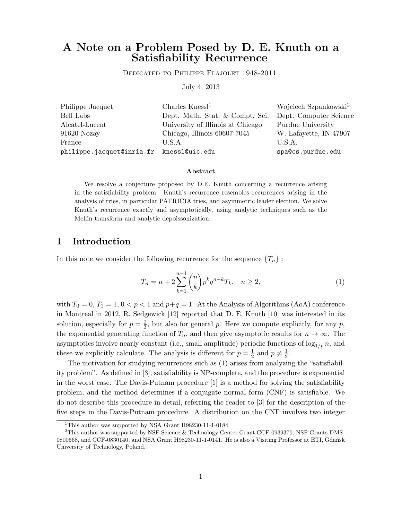# A Note on a Problem Posed by D. E. Knuth on a Satisfiability Recurrence

Dedicated to Philippe Flajolet 1948-2011

July 4, 2013

| Philippe Jacquet                         | Charles $K$ nessl <sup>1</sup>    | Wojciech Szpankowski <sup>2</sup> |
|------------------------------------------|-----------------------------------|-----------------------------------|
| Bell Labs                                | Dept. Math. Stat. & Compt. Sci.   | Dept. Computer Science            |
| Alcatel-Lucent                           | University of Illinois at Chicago | Purdue University                 |
| 91620 Nozay                              | Chicago, Illinois 60607-7045      | W. Lafayette, IN 47907            |
| France                                   | U.S.A.                            | U.S.A.                            |
| philippe.jacquet@inria.fr knessl@uic.edu |                                   | spa@cs.purdue.edu                 |

#### Abstract

We resolve a conjecture proposed by D.E. Knuth concerning a recurrence arising in the satisfiability problem. Knuth's recurrence resembles recurrences arising in the analysis of tries, in particular PATRICIA tries, and asymmetric leader election. We solve Knuth's recurrence exactly and asymptotically, using analytic techniques such as the Mellin transform and analytic depoissonization.

### 1 Introduction

In this note we consider the following recurrence for the sequence  $\{T_n\}$ :

$$
T_n = n + 2\sum_{k=1}^{n-1} \binom{n}{k} p^k q^{n-k} T_k, \quad n \ge 2,
$$
\n(1)

with  $T_0 = 0, T_1 = 1, 0 < p < 1$  and  $p+q = 1$ . At the Analysis of Algorithms (AoA) conference in Montreal in 2012, R. Sedgewick [12] reported that D. E. Knuth [10] was interested in its solution, especially for  $p=\frac{2}{3}$  $\frac{2}{3}$ , but also for general p. Here we compute explicitly, for any p, the exponential generating function of  $T_n$ , and then give asymptotic results for  $n \to \infty$ . The asymptotics involve nearly constant (i.e., small amplitude) periodic functions of  $\log_{1/p} n$ , and these we explicitly calculate. The analysis is different for  $p=\frac{1}{2}$  $\frac{1}{2}$  and  $p \neq \frac{1}{2}$  $\frac{1}{2}$ .

The motivation for studying recurrences such as (1) arises from analyzing the "satisfiability problem". As defined in [3], satisfiability is NP-complete, and the procedure is exponential in the worst case. The Davis-Putnam procedure [1] is a method for solving the satisfiability problem, and the method determines if a conjugate normal form (CNF) is satisfiable. We do not describe this procedure in detail, referring the reader to [3] for the description of the five steps in the Davis-Putnam procedure. A distribution on the CNF involves two integer

<sup>&</sup>lt;sup>1</sup>This author was supported by NSA Grant H98230-11-1-0184.

<sup>&</sup>lt;sup>2</sup>This author was supported by NSF Science & Technology Center Grant CCF-0939370, NSF Grants DMS-0800568, and CCF-0830140, and NSA Grant H98230-11-1-0141. He is also a Visiting Professor at ETI, Gdańsk University of Technology, Poland.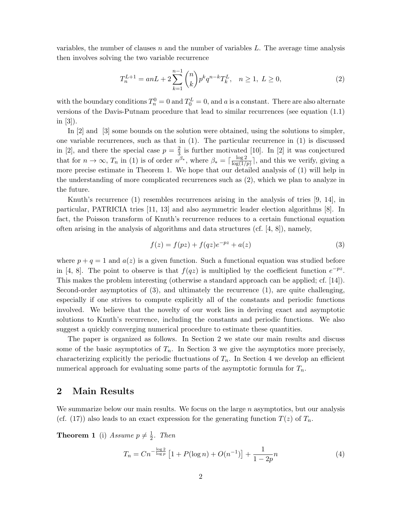variables, the number of clauses n and the number of variables  $L$ . The average time analysis then involves solving the two variable recurrence

$$
T_n^{L+1} = anL + 2\sum_{k=1}^{n-1} \binom{n}{k} p^k q^{n-k} T_k^L, \quad n \ge 1, \ L \ge 0,
$$
\n<sup>(2)</sup>

with the boundary conditions  $T_n^0 = 0$  and  $T_0^L = 0$ , and a is a constant. There are also alternate versions of the Davis-Putnam procedure that lead to similar recurrences (see equation (1.1) in [3]).

In [2] and [3] some bounds on the solution were obtained, using the solutions to simpler, one variable recurrences, such as that in (1). The particular recurrence in (1) is discussed in [2], and there the special case  $p = \frac{2}{3}$  $\frac{2}{3}$  is further motivated [10]. In [2] it was conjectured that for  $n \to \infty$ ,  $T_n$  in (1) is of order  $n^{\beta_*}$ , where  $\beta_* = \lceil \frac{\log 2}{\log(1/n)} \rceil$  $\frac{\log 2}{\log(1/p)}$ , and this we verify, giving a more precise estimate in Theorem 1. We hope that our detailed analysis of (1) will help in the understanding of more complicated recurrences such as (2), which we plan to analyze in the future.

Knuth's recurrence (1) resembles recurrences arising in the analysis of tries [9, 14], in particular, PATRICIA tries [11, 13] and also asymmetric leader election algorithms [8]. In fact, the Poisson transform of Knuth's recurrence reduces to a certain functional equation often arising in the analysis of algorithms and data structures (cf. [4, 8]), namely,

$$
f(z) = f(pz) + f(qz)e^{-pz} + a(z)
$$
 (3)

where  $p + q = 1$  and  $a(z)$  is a given function. Such a functional equation was studied before in [4, 8]. The point to observe is that  $f(qz)$  is multiplied by the coefficient function  $e^{-pz}$ . This makes the problem interesting (otherwise a standard approach can be applied; cf. [14]). Second-order asymptotics of (3), and ultimately the recurrence (1), are quite challenging, especially if one strives to compute explicitly all of the constants and periodic functions involved. We believe that the novelty of our work lies in deriving exact and asymptotic solutions to Knuth's recurrence, including the constants and periodic functions. We also suggest a quickly converging numerical procedure to estimate these quantities.

The paper is organized as follows. In Section 2 we state our main results and discuss some of the basic asymptotics of  $T_n$ . In Section 3 we give the asymptotics more precisely, characterizing explicitly the periodic fluctuations of  $T_n$ . In Section 4 we develop an efficient numerical approach for evaluating some parts of the asymptotic formula for  $T_n$ .

### 2 Main Results

We summarize below our main results. We focus on the large  $n$  asymptotics, but our analysis (cf. (17)) also leads to an exact expression for the generating function  $T(z)$  of  $T_n$ .

**Theorem 1** (i) Assume  $p \neq \frac{1}{2}$  $rac{1}{2}$ . Then

$$
T_n = Cn^{-\frac{\log 2}{\log p}} \left[ 1 + P(\log n) + O(n^{-1}) \right] + \frac{1}{1 - 2p}n \tag{4}
$$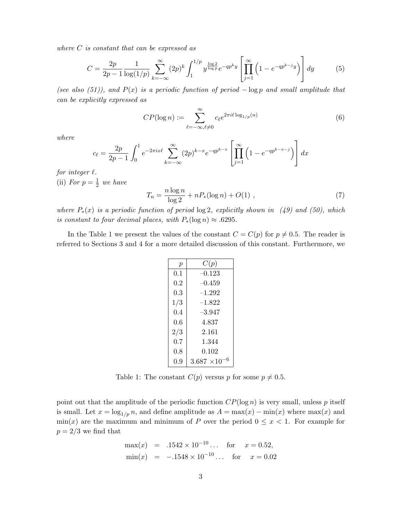where C is constant that can be expressed as

$$
C = \frac{2p}{2p - 1} \frac{1}{\log(1/p)} \sum_{k=-\infty}^{\infty} (2p)^k \int_1^{1/p} y^{\frac{\log 2}{\log p}} e^{-qp^k y} \left[ \prod_{j=1}^{\infty} \left( 1 - e^{-qp^{k-j} y} \right) \right] dy \tag{5}
$$

(see also (51)), and  $P(x)$  is a periodic function of period  $-\log p$  and small amplitude that can be explicitly expressed as

$$
CP(\log n) := \sum_{\ell = -\infty, \ell \neq 0}^{\infty} c_{\ell} e^{2\pi i \ell \log_{1/p}(n)} \tag{6}
$$

where

$$
c_{\ell} = \frac{2p}{2p-1} \int_0^1 e^{-2\pi ix\ell} \sum_{k=-\infty}^{\infty} (2p)^{k-x} e^{-qp^{k-x}} \left[ \prod_{j=1}^{\infty} \left( 1 - e^{-qp^{k-x-j}} \right) \right] dx
$$

for integer  $\ell$ .

(ii) For  $p=\frac{1}{2}$  $rac{1}{2}$  we have

$$
T_n = \frac{n \log n}{\log 2} + nP_*(\log n) + O(1) \tag{7}
$$

where  $P_*(x)$  is a periodic function of period  $\log 2$ , explicitly shown in (49) and (50), which is constant to four decimal places, with  $P_*(\log n) \approx .6295$ .

In the Table 1 we present the values of the constant  $C = C(p)$  for  $p \neq 0.5$ . The reader is referred to Sections 3 and 4 for a more detailed discussion of this constant. Furthermore, we

| $\boldsymbol{p}$ | C(p)                   |
|------------------|------------------------|
| 0.1              | $-0.123$               |
| $0.2\,$          | –0.459                 |
| $0.3\,$          | $-1.292$               |
| 1/3              | $^{-1.822}$            |
| 0.4              | $-3.947$               |
| 0.6              | 4.837                  |
| 2/3              | 2.161                  |
| 0.7              | 1.344                  |
| 0.8              | 0.102                  |
| 0.9              | $3.687 \times 10^{-6}$ |

Table 1: The constant  $C(p)$  versus p for some  $p \neq 0.5$ .

point out that the amplitude of the periodic function  $CP(\log n)$  is very small, unless p itself is small. Let  $x = \log_{1/p} n$ , and define amplitude as  $A = \max(x) - \min(x)$  where  $\max(x)$  and  $min(x)$  are the maximum and minimum of P over the period  $0 \le x < 1$ . For example for  $p = 2/3$  we find that

$$
\max(x) = .1542 \times 10^{-10} \dots \text{ for } x = 0.52,
$$
  
\n
$$
\min(x) = -.1548 \times 10^{-10} \dots \text{ for } x = 0.02
$$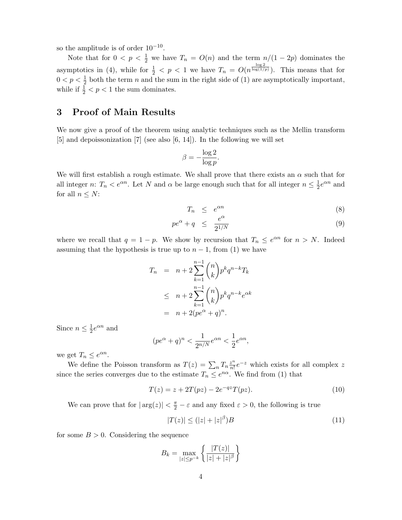so the amplitude is of order  $10^{-10}$ .

Note that for  $0 < p < \frac{1}{2}$  we have  $T_n = O(n)$  and the term  $n/(1-2p)$  dominates the asymptotics in (4), while for  $\frac{1}{2} < p < 1$  we have  $T_n = O(n^{\frac{\log 2}{\log(1/p)}})$ . This means that for  $0 < p < \frac{1}{2}$  both the term n and the sum in the right side of (1) are asymptotically important, while if  $\frac{1}{2} < p < 1$  the sum dominates.

## 3 Proof of Main Results

We now give a proof of the theorem using analytic techniques such as the Mellin transform [5] and depoissonization [7] (see also [6, 14]). In the following we will set

$$
\beta = -\frac{\log 2}{\log p}.
$$

We will first establish a rough estimate. We shall prove that there exists an  $\alpha$  such that for all integer n:  $T_n < e^{\alpha n}$ . Let N and  $\alpha$  be large enough such that for all integer  $n \leq \frac{1}{2}$  $\frac{1}{2}e^{\alpha n}$  and for all  $n \leq N$ :

$$
T_n \leq e^{\alpha n} \tag{8}
$$

$$
pe^{\alpha} + q \le \frac{e^{\alpha}}{2^{1/N}} \tag{9}
$$

where we recall that  $q = 1 - p$ . We show by recursion that  $T_n \leq e^{\alpha n}$  for  $n > N$ . Indeed assuming that the hypothesis is true up to  $n-1$ , from (1) we have

$$
T_n = n + 2 \sum_{k=1}^{n-1} {n \choose k} p^k q^{n-k} T_k
$$
  
\n
$$
\leq n + 2 \sum_{k=1}^{n-1} {n \choose k} p^k q^{n-k} e^{\alpha k}
$$
  
\n
$$
= n + 2(pe^{\alpha} + q)^n.
$$

Since  $n \leq \frac{1}{2}$  $\frac{1}{2}e^{\alpha n}$  and

$$
(pe^{\alpha} + q)^n < \frac{1}{2^{n/N}} e^{\alpha n} < \frac{1}{2} e^{\alpha n},
$$

we get  $T_n \leq e^{\alpha n}$ .

We define the Poisson transform as  $T(z) = \sum_n T_n \frac{z^n}{n!}$  $\frac{z^n}{n!}e^{-z}$  which exists for all complex z since the series converges due to the estimate  $T_n \leq e^{n\alpha}$ . We find from (1) that

$$
T(z) = z + 2T(pz) - 2e^{-qz}T(pz).
$$
 (10)

We can prove that for  $|\arg(z)| < \frac{\pi}{2} - \varepsilon$  and any fixed  $\varepsilon > 0$ , the following is true

$$
|T(z)| \le (|z| + |z|^\beta)B \tag{11}
$$

for some  $B > 0$ . Considering the sequence

$$
B_k = \max_{|z| \le p^{-k}} \left\{ \frac{|T(z)|}{|z| + |z|^{\beta}} \right\}
$$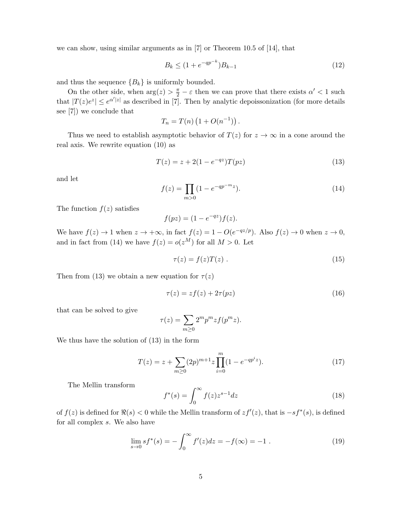we can show, using similar arguments as in [7] or Theorem 10.5 of [14], that

$$
B_k \le (1 + e^{-qp^{-k}})B_{k-1} \tag{12}
$$

and thus the sequence  ${B_k}$  is uniformly bounded.

On the other side, when  $\arg(z) > \frac{\pi}{2} - \varepsilon$  then we can prove that there exists  $\alpha' < 1$  such that  $|T(z)e^{z}| \leq e^{\alpha/|z|}$  as described in [7]. Then by analytic depoissonization (for more details see [7]) we conclude that

$$
T_n = T(n) (1 + O(n^{-1})).
$$

Thus we need to establish asymptotic behavior of  $T(z)$  for  $z \to \infty$  in a cone around the real axis. We rewrite equation (10) as

$$
T(z) = z + 2(1 - e^{-qz})T(pz)
$$
\n(13)

and let

$$
f(z) = \prod_{m>0} (1 - e^{-qp^{-m}z}).
$$
\n(14)

The function  $f(z)$  satisfies

$$
f(pz) = (1 - e^{-qz})f(z).
$$

We have  $f(z) \to 1$  when  $z \to +\infty$ , in fact  $f(z) = 1 - O(e^{-qz/p})$ . Also  $f(z) \to 0$  when  $z \to 0$ , and in fact from (14) we have  $f(z) = o(z^M)$  for all  $M > 0$ . Let

$$
\tau(z) = f(z)T(z) . \tag{15}
$$

Then from (13) we obtain a new equation for  $\tau(z)$ 

$$
\tau(z) = z f(z) + 2\tau(pz) \tag{16}
$$

that can be solved to give

$$
\tau(z) = \sum_{m \ge 0} 2^m p^m z f(p^m z).
$$

We thus have the solution of (13) in the form

$$
T(z) = z + \sum_{m \ge 0} (2p)^{m+1} z \prod_{i=0}^{m} (1 - e^{-qp^i z}).
$$
 (17)

The Mellin transform

$$
f^*(s) = \int_0^\infty f(z)z^{s-1}dz
$$
\n(18)

of  $f(z)$  is defined for  $\Re(s) < 0$  while the Mellin transform of  $zf'(z)$ , that is  $-sf^*(s)$ , is defined for all complex s. We also have

$$
\lim_{s \to 0} s f^*(s) = -\int_0^\infty f'(z) dz = -f(\infty) = -1.
$$
\n(19)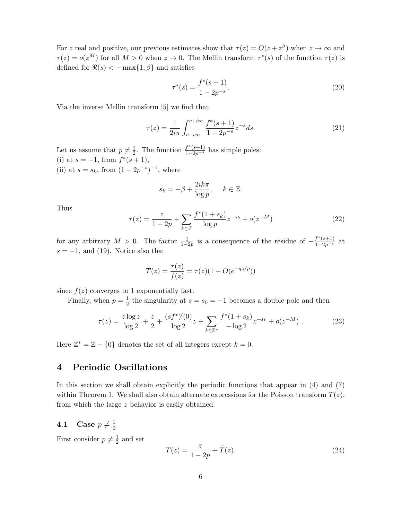For z real and positive, our previous estimates show that  $\tau(z) = O(z + z^{\beta})$  when  $z \to \infty$  and  $\tau(z) = o(z^M)$  for all  $M > 0$  when  $z \to 0$ . The Mellin transform  $\tau^*(s)$  of the function  $\tau(z)$  is defined for  $\Re(s) < -\max\{1,\beta\}$  and satisfies

$$
\tau^*(s) = \frac{f^*(s+1)}{1 - 2p^{-s}}.\tag{20}
$$

Via the inverse Mellin transform [5] we find that

$$
\tau(z) = \frac{1}{2i\pi} \int_{c-i\infty}^{c+i\infty} \frac{f^*(s+1)}{1 - 2p^{-s}} z^{-s} ds.
$$
\n(21)

Let us assume that  $p \neq \frac{1}{2}$  $\frac{1}{2}$ . The function  $\frac{f^*(s+1)}{1-2p^{-s}}$  has simple poles: (i) at  $s = -1$ , from  $f^*(s + 1)$ , (ii) at  $s = s_k$ , from  $(1 - 2p^{-s})^{-1}$ , where

$$
s_k = -\beta + \frac{2ik\pi}{\log p}, \quad k \in \mathbb{Z}.
$$

Thus

$$
\tau(z) = \frac{z}{1 - 2p} + \sum_{k \in \mathbb{Z}} \frac{f^*(1 + s_k)}{\log p} z^{-s_k} + o(z^{-M})
$$
\n(22)

for any arbitrary  $M > 0$ . The factor  $\frac{1}{1-2p}$  is a consequence of the residue of  $-\frac{f^*(s+1)}{1-2p^{-s}}$  at  $s = -1$ , and (19). Notice also that

$$
T(z) = \frac{\tau(z)}{f(z)} = \tau(z)(1 + O(e^{-qz/p}))
$$

since  $f(z)$  converges to 1 exponentially fast.

Finally, when  $p=\frac{1}{2}$  $\frac{1}{2}$  the singularity at  $s = s_0 = -1$  becomes a double pole and then

$$
\tau(z) = \frac{z \log z}{\log 2} + \frac{z}{2} + \frac{(sf^*)'(0)}{\log 2}z + \sum_{k \in \mathbb{Z}^*} \frac{f^*(1+s_k)}{-\log 2} z^{-s_k} + o(z^{-M}). \tag{23}
$$

Here  $\mathbb{Z}^* = \mathbb{Z} - \{0\}$  denotes the set of all integers except  $k = 0$ .

# 4 Periodic Oscillations

In this section we shall obtain explicitly the periodic functions that appear in (4) and (7) within Theorem 1. We shall also obtain alternate expressions for the Poisson transform  $T(z)$ , from which the large z behavior is easily obtained.

#### 4.1 Case  $p \neq \frac{1}{2}$ 2

First consider  $p \neq \frac{1}{2}$  $\frac{1}{2}$  and set

$$
T(z) = \frac{z}{1 - 2p} + \tilde{T}(z).
$$
 (24)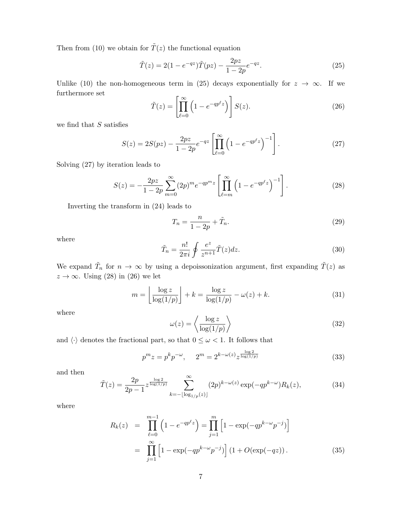Then from (10) we obtain for  $\tilde{T}(z)$  the functional equation

$$
\tilde{T}(z) = 2(1 - e^{-qz})\tilde{T}(pz) - \frac{2pz}{1 - 2p}e^{-qz}.
$$
\n(25)

Unlike (10) the non-homogeneous term in (25) decays exponentially for  $z \to \infty$ . If we furthermore set

$$
\tilde{T}(z) = \left[ \prod_{\ell=0}^{\infty} \left( 1 - e^{-qp^{\ell}z} \right) \right] S(z). \tag{26}
$$

we find that  $S$  satisfies

$$
S(z) = 2S(pz) - \frac{2pz}{1-2p}e^{-qz}\left[\prod_{\ell=0}^{\infty} \left(1 - e^{-qp^{\ell}z}\right)^{-1}\right].
$$
 (27)

Solving (27) by iteration leads to

$$
S(z) = -\frac{2pz}{1-2p} \sum_{m=0}^{\infty} (2p)^m e^{-qp^m z} \left[ \prod_{\ell=m}^{\infty} \left( 1 - e^{-qp^\ell z} \right)^{-1} \right].
$$
 (28)

Inverting the transform in (24) leads to

$$
T_n = \frac{n}{1 - 2p} + \tilde{T}_n. \tag{29}
$$

where

$$
\tilde{T}_n = \frac{n!}{2\pi i} \oint \frac{e^z}{z^{n+1}} \tilde{T}(z) dz.
$$
\n(30)

We expand  $\tilde{T}_n$  for  $n \to \infty$  by using a depoissonization argument, first expanding  $\tilde{T}(z)$  as  $z \to \infty$ . Using (28) in (26) we let

$$
m = \left\lfloor \frac{\log z}{\log(1/p)} \right\rfloor + k = \frac{\log z}{\log(1/p)} - \omega(z) + k. \tag{31}
$$

where

$$
\omega(z) = \left\langle \frac{\log z}{\log(1/p)} \right\rangle \tag{32}
$$

and  $\langle \cdot \rangle$  denotes the fractional part, so that  $0 \leq \omega < 1$ . It follows that

$$
p^{m}z = p^{k}p^{-\omega}, \qquad 2^{m} = 2^{k-\omega(z)}z^{\frac{\log 2}{\log(1/p)}} \tag{33}
$$

and then

$$
\tilde{T}(z) = \frac{2p}{2p - 1} z^{\frac{\log 2}{\log(1/p)}} \sum_{k = -\lfloor \log_{1/p}(z) \rfloor}^{\infty} (2p)^{k - \omega(z)} \exp(-qp^{k - \omega}) R_k(z), \tag{34}
$$

where

$$
R_k(z) = \prod_{\ell=0}^{m-1} \left( 1 - e^{-qp^{\ell}z} \right) = \prod_{j=1}^{m} \left[ 1 - \exp(-qp^{k-\omega}p^{-j}) \right]
$$
  
= 
$$
\prod_{j=1}^{\infty} \left[ 1 - \exp(-qp^{k-\omega}p^{-j}) \right] \left( 1 + O(\exp(-qz)) \right).
$$
 (35)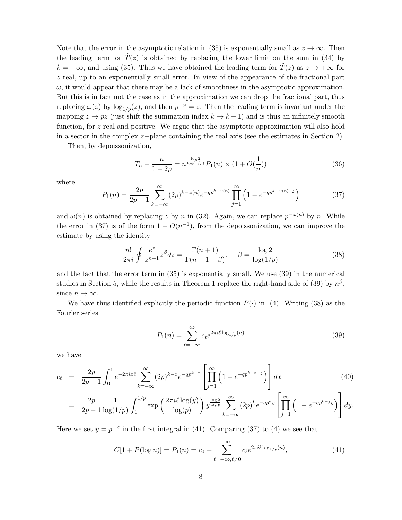Note that the error in the asymptotic relation in (35) is exponentially small as  $z \to \infty$ . Then the leading term for  $\tilde{T}(z)$  is obtained by replacing the lower limit on the sum in (34) by  $k = -\infty$ , and using (35). Thus we have obtained the leading term for  $\tilde{T}(z)$  as  $z \to +\infty$  for  $z$  real, up to an exponentially small error. In view of the appearance of the fractional part  $\omega$ , it would appear that there may be a lack of smoothness in the asymptotic approximation. But this is in fact not the case as in the approximation we can drop the fractional part, thus replacing  $\omega(z)$  by  $\log_{1/p}(z)$ , and then  $p^{-\omega}=z$ . Then the leading term is invariant under the mapping  $z \to pz$  (just shift the summation index  $k \to k-1$ ) and is thus an infinitely smooth function, for z real and positive. We argue that the asymptotic approximation will also hold in a sector in the complex z−plane containing the real axis (see the estimates in Section 2).

Then, by depoissonization,

$$
T_n - \frac{n}{1 - 2p} = n^{\frac{\log 2}{\log(1/p)}} P_1(n) \times (1 + O(\frac{1}{n}))
$$
\n(36)

where

$$
P_1(n) = \frac{2p}{2p-1} \sum_{k=-\infty}^{\infty} (2p)^{k-\omega(n)} e^{-qp^{k-\omega(n)}} \prod_{j=1}^{\infty} \left(1 - e^{-qp^{k-\omega(n)-j}}\right)
$$
(37)

and  $\omega(n)$  is obtained by replacing z by n in (32). Again, we can replace  $p^{-\omega(n)}$  by n. While the error in (37) is of the form  $1 + O(n^{-1})$ , from the depoissonization, we can improve the estimate by using the identity

$$
\frac{n!}{2\pi i} \oint \frac{e^z}{z^{n+1}} z^\beta dz = \frac{\Gamma(n+1)}{\Gamma(n+1-\beta)}, \quad \beta = \frac{\log 2}{\log(1/p)}\tag{38}
$$

and the fact that the error term in (35) is exponentially small. We use (39) in the numerical studies in Section 5, while the results in Theorem 1 replace the right-hand side of (39) by  $n^{\beta}$ , since  $n \to \infty$ .

We have thus identified explicitly the periodic function  $P(\cdot)$  in (4). Writing (38) as the Fourier series

$$
P_1(n) = \sum_{\ell = -\infty}^{\infty} c_{\ell} e^{2\pi i \ell \log_{1/p}(n)}
$$
(39)

we have

$$
c_{\ell} = \frac{2p}{2p-1} \int_0^1 e^{-2\pi ix\ell} \sum_{k=-\infty}^{\infty} (2p)^{k-x} e^{-qp^{k-x}} \left[ \prod_{j=1}^{\infty} \left( 1 - e^{-qp^{k-x-j}} \right) \right] dx \tag{40}
$$

$$
= \frac{2p}{2p-1} \frac{1}{\log(1/p)} \int_1^{1/p} \exp\left(\frac{2\pi i \ell \log(y)}{\log(p)}\right) y^{\frac{\log 2}{\log p}} \sum_{k=-\infty}^{\infty} (2p)^k e^{-qp^k y} \left[ \prod_{j=1}^{\infty} \left(1 - e^{-qp^{k-j}y}\right) \right] dy.
$$

Here we set  $y = p^{-x}$  in the first integral in (41). Comparing (37) to (4) we see that

$$
C[1 + P(\log n)] = P_1(n) = c_0 + \sum_{\ell = -\infty, \ell \neq 0}^{\infty} c_{\ell} e^{2\pi i \ell \log_{1/p}(n)},
$$
\n(41)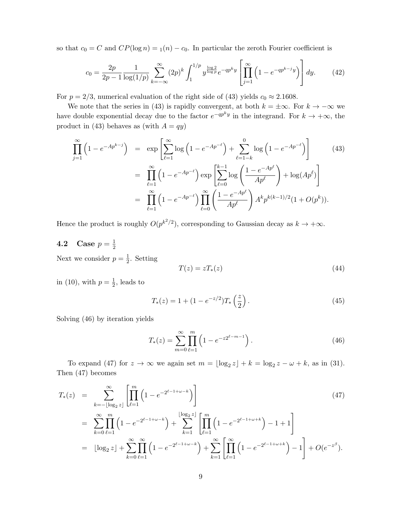so that  $c_0 = C$  and  $CP(\log n) = 1(n) - c_0$ . In particular the zeroth Fourier coefficient is

$$
c_0 = \frac{2p}{2p - 1} \frac{1}{\log(1/p)} \sum_{k = -\infty}^{\infty} (2p)^k \int_1^{1/p} y^{\frac{\log 2}{\log p}} e^{-qp^k y} \left[ \prod_{j=1}^{\infty} \left( 1 - e^{-qp^{k-j} y} \right) \right] dy. \tag{42}
$$

For  $p = 2/3$ , numerical evaluation of the right side of (43) yields  $c_0 \approx 2.1608$ .

We note that the series in (43) is rapidly convergent, at both  $k = \pm \infty$ . For  $k \to -\infty$  we have double exponential decay due to the factor  $e^{-qp^ky}$  in the integrand. For  $k \to +\infty$ , the product in (43) behaves as (with  $A = qy$ )

$$
\prod_{j=1}^{\infty} \left(1 - e^{-Ap^{k-j}}\right) = \exp\left[\sum_{\ell=1}^{\infty} \log\left(1 - e^{-Ap^{-\ell}}\right) + \sum_{\ell=1-k}^{0} \log\left(1 - e^{-Ap^{-\ell}}\right)\right]
$$
\n
$$
= \prod_{\ell=1}^{\infty} \left(1 - e^{-Ap^{-\ell}}\right) \exp\left[\sum_{\ell=0}^{k-1} \log\left(\frac{1 - e^{-Ap^{\ell}}}{Ap^{\ell}}\right) + \log(Ap^{\ell})\right]
$$
\n
$$
= \prod_{\ell=1}^{\infty} \left(1 - e^{-Ap^{-\ell}}\right) \prod_{\ell=0}^{\infty} \left(\frac{1 - e^{-Ap^{\ell}}}{Ap^{\ell}}\right) A^k p^{k(k-1)/2} (1 + O(p^k)).
$$
\n(43)

Hence the product is roughly  $O(p^{k^2/2})$ , corresponding to Gaussian decay as  $k \to +\infty$ .

#### **4.2** Case  $p = \frac{1}{2}$ 2

Next we consider  $p=\frac{1}{2}$  $\frac{1}{2}$ . Setting

$$
T(z) = zT_*(z) \tag{44}
$$

in (10), with  $p=\frac{1}{2}$  $\frac{1}{2}$ , leads to

$$
T_*(z) = 1 + (1 - e^{-z/2}) T_* \left(\frac{z}{2}\right). \tag{45}
$$

Solving (46) by iteration yields

$$
T_*(z) = \sum_{m=0}^{\infty} \prod_{\ell=1}^m \left( 1 - e^{-z 2^{\ell-m-1}} \right).
$$
 (46)

To expand (47) for  $z \to \infty$  we again set  $m = \lfloor \log_2 z \rfloor + k = \log_2 z - \omega + k$ , as in (31). Then (47) becomes

$$
T_{*}(z) = \sum_{k=-\lfloor \log_{2} z \rfloor}^{\infty} \left[ \prod_{\ell=1}^{m} \left( 1 - e^{-2^{\ell-1+\omega-k}} \right) \right]
$$
\n
$$
= \sum_{k=0}^{\infty} \prod_{\ell=1}^{m} \left( 1 - e^{-2^{\ell-1+\omega-k}} \right) + \sum_{k=1}^{\lfloor \log_{2} z \rfloor} \left[ \prod_{\ell=1}^{m} \left( 1 - e^{-2^{\ell-1+\omega+k}} \right) - 1 + 1 \right]
$$
\n
$$
= \lfloor \log_{2} z \rfloor + \sum_{k=0}^{\infty} \prod_{\ell=1}^{\infty} \left( 1 - e^{-2^{\ell-1+\omega-k}} \right) + \sum_{k=1}^{\infty} \left[ \prod_{\ell=1}^{\infty} \left( 1 - e^{-2^{\ell-1+\omega+k}} \right) - 1 \right] + O(e^{-z^{\beta}}).
$$
\n(47)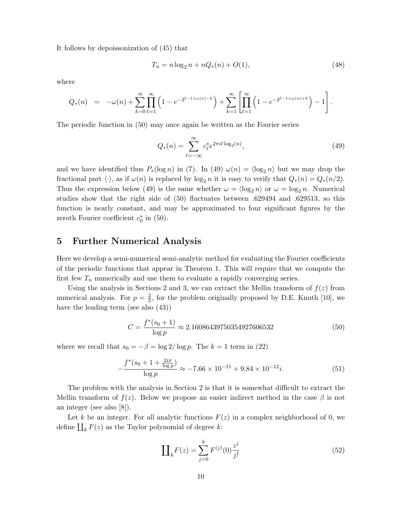It follows by depoissonization of (45) that

$$
T_n = n \log_2 n + nQ_*(n) + O(1),\tag{48}
$$

where

$$
Q_*(n) = -\omega(n) + \sum_{k=0}^{\infty} \prod_{\ell=1}^{\infty} \left(1 - e^{-2^{\ell-1+\omega(n)-k}}\right) + \sum_{k=1}^{\infty} \left[\prod_{\ell=1}^{\infty} \left(1 - e^{-2^{\ell-1+\omega(n)+k}}\right) - 1\right].
$$

The periodic function in (50) may once again be written as the Fourier series

$$
Q_*(n) = \sum_{\ell = -\infty}^{\infty} c_{\ell}^* e^{2\pi i \ell \log_2(n)},
$$
\n(49)

and we have identified thus  $P_*(\log n)$  in (7). In (49)  $\omega(n) = \langle \log_2 n \rangle$  but we may drop the fractional part  $\langle \cdot \rangle$ , as if  $\omega(n)$  is replaced by  $\log_2 n$  it is easy to verify that  $Q_*(n) = Q_*(n/2)$ . Thus the expression below (49) is the same whether  $\omega = \langle \log_2 n \rangle$  or  $\omega = \log_2 n$ . Numerical studies show that the right side of (50) fluctuates between .629494 and .629513, so this function is nearly constant, and may be approximated to four significant figures by the zeroth Fourier coefficient  $c_0^*$  in (50).

## 5 Further Numerical Analysis

Here we develop a semi-numerical semi-analytic method for evaluating the Fourier coefficients of the periodic functions that appear in Theorem 1. This will require that we compute the first few  $T_n$  numerically and use them to evaluate a rapidly converging series.

Using the analysis in Sections 2 and 3, we can extract the Mellin transform of  $f(z)$  from numerical analysis. For  $p = \frac{2}{3}$  $\frac{2}{3}$ , for the problem originally proposed by D.E. Knuth [10], we have the leading term (see also (43))

$$
C = \frac{f^*(s_0 + 1)}{\log p} \approx 2.16086439750354927606532\tag{50}
$$

where we recall that  $s_0 = -\beta = \log 2/\log p$ . The  $k = 1$  term in (22)

$$
-\frac{f^*(s_0 + 1 + \frac{2i\pi}{\log p})}{\log p} \approx -7.66 \times 10^{-11} + 9.84 \times 10^{-12}i. \tag{51}
$$

The problem with the analysis in Section 2 is that it is somewhat difficult to extract the Mellin transform of  $f(z)$ . Below we propose an easier indirect method in the case  $\beta$  is not an integer (see also [8]).

Let k be an integer. For all analytic functions  $F(z)$  in a complex neighborhood of 0, we define  $\prod_k F(z)$  as the Taylor polynomial of degree k:

$$
\prod_{k} F(z) = \sum_{j=0}^{k} F^{(j)}(0) \frac{z^{j}}{j!}
$$
 (52)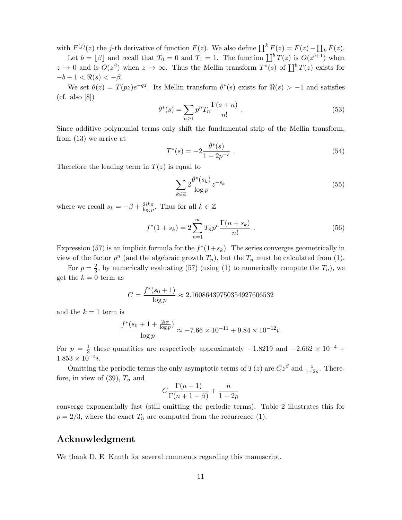with  $F^{(j)}(z)$  the j-th derivative of function  $F(z)$ . We also define  $\coprod^k F(z) = F(z) - \coprod_k F(z)$ .

Let  $b = \lfloor \beta \rfloor$  and recall that  $T_0 = 0$  and  $T_1 = 1$ . The function  $\prod^b T(z)$  is  $O(z^{b+1})$  when  $z \to 0$  and is  $O(z^{\beta})$  when  $z \to \infty$ . Thus the Mellin transform  $T^*(s)$  of  $\prod^b T(z)$  exists for  $-b-1 < \Re(s) < -\beta$ .

We set  $\theta(z) = T(pz)e^{-qz}$ . Its Mellin transform  $\theta^*(s)$  exists for  $\Re(s) > -1$  and satisfies  $(cf. also [8])$ 

$$
\theta^*(s) = \sum_{n\geq 1} p^n T_n \frac{\Gamma(s+n)}{n!} \,. \tag{53}
$$

Since additive polynomial terms only shift the fundamental strip of the Mellin transform, from (13) we arrive at

$$
T^*(s) = -2\frac{\theta^*(s)}{1 - 2p^{-s}}.
$$
\n(54)

Therefore the leading term in  $T(z)$  is equal to

$$
\sum_{k \in \mathbb{Z}} 2 \frac{\theta^*(s_k)}{\log p} z^{-s_k} \tag{55}
$$

where we recall  $s_k = -\beta + \frac{2ik\pi}{\log n}$  $\frac{2ik\pi}{\log p}$ . Thus for all  $k \in \mathbb{Z}$ 

$$
f^{*}(1+s_{k}) = 2\sum_{n=1}^{\infty} T_{n}p^{n} \frac{\Gamma(n+s_{k})}{n!} \ . \tag{56}
$$

Expression (57) is an implicit formula for the  $f^*(1+s_k)$ . The series converges geometrically in view of the factor  $p^n$  (and the algebraic growth  $T_n$ ), but the  $T_n$  must be calculated from (1).

For  $p=\frac{2}{3}$  $\frac{2}{3}$ , by numerically evaluating (57) (using (1) to numerically compute the  $T_n$ ), we get the  $k = 0$  term as

$$
C = \frac{f^*(s_0 + 1)}{\log p} \approx 2.16086439750354927606532
$$

and the  $k = 1$  term is

$$
\frac{f^*(s_0 + 1 + \frac{2i\pi}{\log p})}{\log p} \approx -7.66 \times 10^{-11} + 9.84 \times 10^{-12}i.
$$

For  $p = \frac{1}{3}$  $\frac{1}{3}$  these quantities are respectively approximately  $-1.8219$  and  $-2.662 \times 10^{-4}$  +  $1.853 \times 10^{-4}$ *i*.

Omitting the periodic terms the only asymptotic terms of  $T(z)$  are  $Cz^{\beta}$  and  $\frac{z}{1-2p}$ . Therefore, in view of  $(39)$ ,  $T_n$  and

$$
C\frac{\Gamma(n+1)}{\Gamma(n+1-\beta)} + \frac{n}{1-2p}
$$

converge exponentially fast (still omitting the periodic terms). Table 2 illustrates this for  $p = 2/3$ , where the exact  $T_n$  are computed from the recurrence (1).

### Acknowledgment

We thank D. E. Knuth for several comments regarding this manuscript.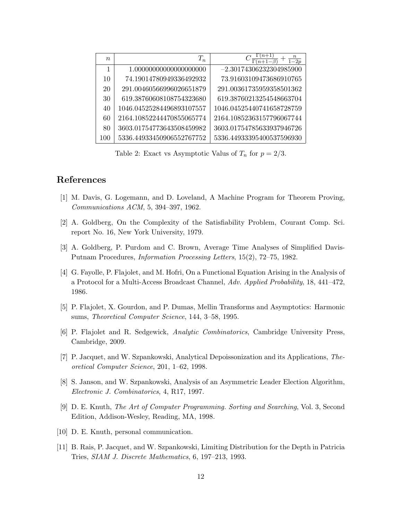| $\boldsymbol{n}$ | $T_n$                     | $rac{n}{1-2p}$            |
|------------------|---------------------------|---------------------------|
| 1                | 1.00000000000000000000    | $-2.30174306232304985900$ |
| 10               | 74.19014780949336492932   | 73.91603109473686910765   |
| 20               | 291.00460566996026651879  | 291.00361735959358501362  |
| 30               | 619.38760608108754323680  | 619.38760213254548663704  |
| 40               | 1046.04525284496893107557 | 1046.04525440741658728759 |
| 60               | 2164.10852244470855065774 | 2164.10852363157796067744 |
| 80               | 3603.01754773643508459982 | 3603.01754785633937946726 |
| 100              | 5336.44933450906552767752 | 5336.44933395400537596930 |

Table 2: Exact vs Asymptotic Valus of  $T_n$  for  $p = 2/3$ .

## References

- [1] M. Davis, G. Logemann, and D. Loveland, A Machine Program for Theorem Proving, Communications ACM, 5, 394–397, 1962.
- [2] A. Goldberg, On the Complexity of the Satisfiability Problem, Courant Comp. Sci. report No. 16, New York University, 1979.
- [3] A. Goldberg, P. Purdom and C. Brown, Average Time Analyses of Simplified Davis-Putnam Procedures, Information Processing Letters, 15(2), 72–75, 1982.
- [4] G. Fayolle, P. Flajolet, and M. Hofri, On a Functional Equation Arising in the Analysis of a Protocol for a Multi-Access Broadcast Channel, Adv. Applied Probability, 18, 441–472, 1986.
- [5] P. Flajolet, X. Gourdon, and P. Dumas, Mellin Transforms and Asymptotics: Harmonic sums, Theoretical Computer Science, 144, 3–58, 1995.
- [6] P. Flajolet and R. Sedgewick, Analytic Combinatorics, Cambridge University Press, Cambridge, 2009.
- [7] P. Jacquet, and W. Szpankowski, Analytical Depoissonization and its Applications, Theoretical Computer Science, 201, 1–62, 1998.
- [8] S. Janson, and W. Szpankowski, Analysis of an Asymmetric Leader Election Algorithm, Electronic J. Combinatorics, 4, R17, 1997.
- [9] D. E. Knuth, The Art of Computer Programming. Sorting and Searching, Vol. 3, Second Edition, Addison-Wesley, Reading, MA, 1998.
- [10] D. E. Knuth, personal communication.
- [11] B. Rais, P. Jacquet, and W. Szpankowski, Limiting Distribution for the Depth in Patricia Tries, SIAM J. Discrete Mathematics, 6, 197–213, 1993.